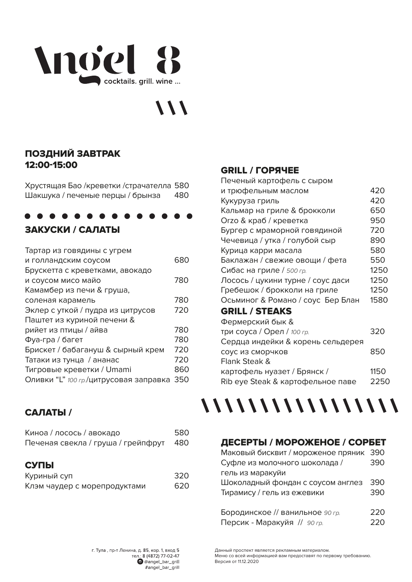## Anoiel 8 cocktails, grill, wine ...

## $\frac{1}{2}$

## ПОЗДНИЙ ЗАВТРАК 12:00-15:00

Хрустяшая Бао /креветки /страчателла 580 Шакшука / печеные перцы / брынза 480

## ЗАКУСКИ / САЛАТЫ

| 680 |
|-----|
|     |
| 780 |
|     |
| 780 |
| 720 |
|     |
| 780 |
| 780 |
| 720 |
| 720 |
| 860 |
| 350 |
|     |

## САЛАТЫ /

| Киноа / лосось / авокадо<br>Печеная свекла / груша / грейпфрут | 580<br>480 |
|----------------------------------------------------------------|------------|
| СУПЫ                                                           |            |
| Куриный суп                                                    | 320        |
| Клэм чаудер с морепродуктами                                   | 620        |

## GRILL / ГОРЯЧЕЕ

| Печеный картофель с сыром         |      |
|-----------------------------------|------|
| и трюфельным маслом               | 420  |
| Кукуруза гриль                    | 420  |
| Кальмар на гриле & брокколи       | 650  |
| Огzо & краб / креветка            | 950  |
| Бургер с мраморной говядиной      | 720  |
| Чечевица / утка / голубой сыр     | 890  |
| Курица карри масала               | 580  |
| Баклажан / свежие овощи / фета    | 550  |
| Сибас на гриле / 500 гр.          | 1250 |
| Лосось / цукини турне / соус даси | 1250 |
| Гребешок / брокколи на гриле      | 1250 |
| Осьминог & Романо / соус Бер Блан | 1580 |
| <b>GRILL / STEAKS</b>             |      |
| Фермерский бык &                  |      |
| три соуса / Орел / 100 гр.        | 320  |
| Сердца индейки & корень сельдерея |      |
| соус из сморчков                  | 850  |
| Flank Steak &                     |      |
| картофель нуазет / Брянск /       | 1150 |
| Rib eye Steak & картофельное паве | 2250 |
|                                   |      |



## ДЕСЕРТЫ / МОРОЖЕНОЕ / СОРБЕТ

| Маковый бисквит / мороженое пряник 390 |     |
|----------------------------------------|-----|
| Суфле из молочного шоколада /          | 390 |
| гель из маракуйи                       |     |
| Шоколадный фондан с соусом англез      | 390 |
| Тирамису / гель из ежевики             | 390 |
|                                        |     |
| Бородинское // ванильное 90 гр.        | 220 |
| Персик - Маракуйя // 90 гр.            | 220 |

Данный проспект является рекламным материалом. Меню со всей информацией вам предоставят по первому требованию. Версия от 11.12.2020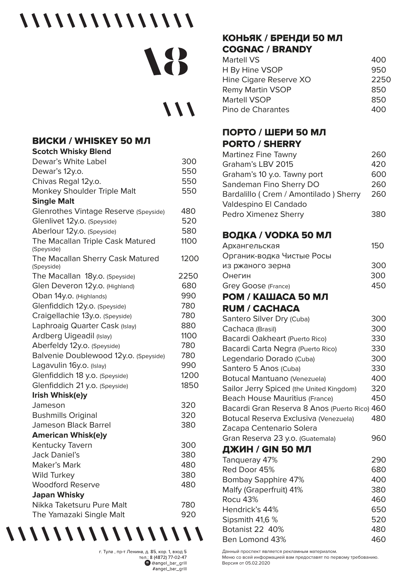## 

# 18

## $111$

#### **ВИСКИ / WHISKEY 50 МЛ**  $\mathbf{r}$  . The same state  $\sim$

| Scotch Whisky Blend                            |      |
|------------------------------------------------|------|
| Dewar's White Label                            | 300  |
| Dewar's 12y.o.                                 | 550  |
| Chivas Regal 12y.o.                            | 550  |
| Monkey Shoulder Triple Malt                    | 550  |
| <b>Single Malt</b>                             |      |
| Glenrothes Vintage Reserve (Speyside)          | 480  |
| Glenlivet 12y.o. (Speyside)                    | 520  |
| Aberlour 12y.o. (Speyside)                     | 580  |
| The Macallan Triple Cask Matured               | 1100 |
| (Speyside)                                     |      |
| The Macallan Sherry Cask Matured<br>(Speyside) | 1200 |
| The Macallan 18y.o. (Speyside)                 | 2250 |
| Glen Deveron 12y.o. (Highland)                 | 680  |
| Oban 14y.o. (Highlands)                        | 990  |
| Glenfiddich 12y.o. (Speyside)                  | 780  |
| Craigellachie 13y.o. (Speyside)                | 780  |
| Laphroaig Quarter Cask (Islay)                 | 880  |
| Ardberg Uigeadil (Islay)                       | 1100 |
| Aberfeldy 12y.o. (Speyside)                    | 780  |
| Balvenie Doublewood 12y.o. (Speyside)          | 780  |
| Lagavulin 16y.o. (Islay)                       | 990  |
| Glenfiddich 18 y.o. (Speyside)                 | 1200 |
| Glenfiddich 21 y.o. (Speyside)                 | 1850 |
| Irish Whisk(e)y                                |      |
| Jameson                                        | 320  |
| <b>Bushmills Original</b>                      | 320  |
| Jameson Black Barrel                           | 380  |
| <b>American Whisk(e)y</b>                      |      |
| Kentucky Tavern                                | 300  |
| <b>Jack Daniel's</b>                           | 380  |
| Maker's Mark                                   | 480  |
| <b>Wild Turkey</b>                             | 380  |
| <b>Woodford Reserve</b>                        | 480  |
| <b>Japan Whisky</b>                            |      |
| Nikka Taketsuru Pure Malt                      | 780  |
| The Yamazaki Single Malt                       | 920  |

г. Тула, пр-т Ленина, д. 85, кор. 1, вход 5 тел.: 8 (4872) 77-02-47 @@angel\_bar\_grill #angel\_bar\_grill

///////////////////

## КОНЬЯК / БРЕНДИ 50 МЛ **COGNAC / BRANDY**

| <b>Martell VS</b>       | 400  |
|-------------------------|------|
| H By Hine VSOP          | 950  |
| Hine Cigare Reserve XO  | 2250 |
| <b>Remy Martin VSOP</b> | 850  |
| <b>Martell VSOP</b>     | 850  |
| Pino de Charantes       | 400  |

## ПОРТО / ШЕРИ 50 МЛ **PORTO / SHERRY**

| Martinez Fine Tawny                   | 260 |
|---------------------------------------|-----|
| Graham's LBV 2015                     | 420 |
| Graham's 10 y.o. Tawny port           | 600 |
| Sandeman Fino Sherry DO               | 260 |
| Bardalillo (Crem / Amontilado) Sherry | 260 |
| Valdespino El Candado                 |     |
| Pedro Ximenez Sherry                  |     |

## ВОДКА / VODKA 50 МЛ

| Архангельская                                 | 150 |
|-----------------------------------------------|-----|
| Органик-водка Чистые Росы                     |     |
| из ржаного зерна                              | 300 |
| Онегин                                        | 300 |
| Grey Goose (France)                           | 450 |
| РОМ / КАШАСА 50 МЛ                            |     |
| <b>RUM / CACHACA</b>                          |     |
| Santero Silver Dry (Cuba)                     | 300 |
| Cachaca (Brasil)                              | 300 |
| Bacardi Oakheart (Puerto Rico)                | 330 |
| Bacardi Carta Negra (Puerto Rico)             | 330 |
| Legendario Dorado (Cuba)                      | 300 |
| Santero 5 Anos (Cuba)                         | 330 |
| Botucal Mantuano (Venezuela)                  | 400 |
| Sailor Jerry Spiced (the United Kingdom)      | 320 |
| Beach House Mauritius (France)                | 450 |
| Bacardi Gran Reserva 8 Anos (Puerto Rico) 460 |     |
| Botucal Reserva Exclusiva (Venezuela)         | 480 |
| Zacapa Centenario Solera                      |     |
| Gran Reserva 23 y.o. (Guatemala)              | 960 |
| ДЖИН / GIN 50 МЛ                              |     |
| Tanqueray 47%                                 | 290 |
| Red Door 45%                                  | 680 |
| Bombay Sapphire 47%                           | 400 |
| Malfy (Graperfruit) 41%                       | 380 |
| Rocu 43%                                      | 460 |
| Hendrick's 44%                                | 650 |
| Sipsmith 41,6 %                               | 520 |
| Botanist 22 40%                               | 480 |
| Ben Lomond 43%                                | 460 |

Данный проспект является рекламным материалом. Меню со всей информацией вам предоставят по первому требованию. Версия от 05.02.2020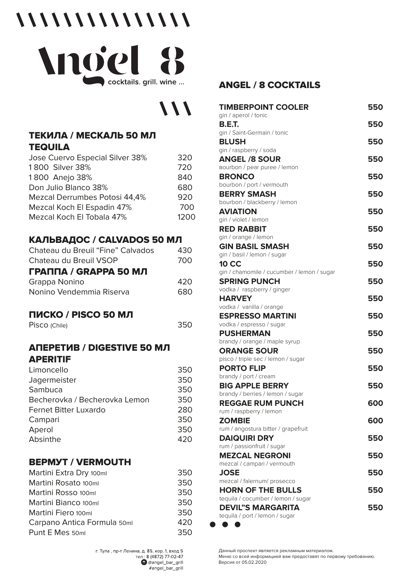## 



## $111$

350

## ТЕКИЛА / МЕСКАЛЬ 50 МЛ **TEQUILA**

| Jose Cuervo Especial Silver 38% | 320  |
|---------------------------------|------|
| 1800 Silver 38%                 | 720  |
| 1800 Anejo 38%                  | 840  |
| Don Julio Blanco 38%            | 680  |
| Mezcal Derrumbes Potosi 44,4%   | 920  |
| Mezcal Koch El Espadin 47%      | 700  |
| Mezcal Koch El Tobala 47%       | 1200 |
|                                 |      |

## КАЛЬВАДОС / CALVADOS 50 МЛ

| Chateau du Breuil "Fine" Calvados | 430. |
|-----------------------------------|------|
| Chateau du Breuil VSOP            | 700  |
| <b>ГРАППА / GRAPPA 50 МЛ</b>      |      |
| Grappa Nonino                     | 420  |
| Nonino Vendemmia Riserva          | 680  |
|                                   |      |

## ПИСКО / PISCO 50 МЛ

Pisco (Chile)

## **АПЕРЕТИВ / DIGESTIVE 50 МЛ APERITIF**

| Limoncello                    | 350 |
|-------------------------------|-----|
| Jagermeister                  | 350 |
| Sambuca                       | 350 |
| Becherovka / Becherovka Lemon | 350 |
| <b>Fernet Bitter Luxardo</b>  | 280 |
| Campari                       | 350 |
| Aperol                        | 350 |
| Absinthe                      | 420 |
|                               |     |

## **BEPMYT / VERMOUTH**

| Martini Extra Dry 100ml     | 350 |
|-----------------------------|-----|
| Martini Rosato 100ml        | 350 |
| Martini Rosso 100ml         | 350 |
| Martini Bianco 100ml        | 350 |
| Martini Fiero 100ml         | 350 |
| Carpano Antica Formula 50ml | 420 |
| Punt E Mes 50ml             | 350 |

## **ANGEL / 8 COCKTAILS**

| <b>TIMBERPOINT COOLER</b>                                   | 550 |
|-------------------------------------------------------------|-----|
| gin / aperol / tonic<br><b>B.E.T.</b>                       | 550 |
| gin / Saint-Germain / tonic                                 |     |
| <b>BLUSH</b>                                                | 550 |
| gin / raspberry / soda<br><b>ANGEL /8 SOUR</b>              | 550 |
| Bourbon / pear puree / lemon                                |     |
| <b>BRONCO</b>                                               | 550 |
| bourbon / port / vermouth                                   |     |
| <b>BERRY SMASH</b><br>bourbon / blackberry / lemon          | 550 |
| <b>AVIATION</b>                                             | 550 |
| gin / violet / lemon                                        |     |
| <b>RED RABBIT</b>                                           | 550 |
| gin / orange / lemon                                        |     |
| <b>GIN BASIL SMASH</b>                                      | 550 |
| gin / basil / lemon / sugar                                 |     |
| <b>10 CC</b><br>gin / chamomile / cucumber / lemon / sugar  | 550 |
| <b>SPRING PUNCH</b>                                         | 550 |
| vodka / raspberry / ginger                                  |     |
| <b>HARVEY</b>                                               | 550 |
| vodka / vanilla / orange                                    |     |
| <b>ESPRESSO MARTINI</b>                                     | 550 |
| vodka / espresso / sugar<br><b>PUSHERMAN</b>                | 550 |
| brandy / orange / maple syrup                               |     |
| <b>ORANGE SOUR</b>                                          | 550 |
| pisco / triple sec / lemon / sugar                          |     |
| <b>PORTO FLIP</b>                                           | 550 |
| brandy / port / cream                                       |     |
| <b>BIG APPLE BERRY</b>                                      | 550 |
| brandy / berries / lemon / sugar<br><b>REGGAE RUM PUNCH</b> | 600 |
| rum / raspberry / lemon                                     |     |
| <b>ZOMBIE</b>                                               | 600 |
| rum / angostura bitter / grapefruit                         |     |
| <b>DAIQUIRI DRY</b>                                         | 550 |
| rum / passionfruit / sugar                                  |     |
| <b>MEZCAL NEGRONI</b><br>mezcal / campari / vermouth        | 550 |
| <b>JOSE</b>                                                 | 550 |
| mezcal / falernum/ prosecco                                 |     |
| <b>HORN OF THE BULLS</b>                                    | 550 |
| tequila / cocumber / lemon / sugar                          |     |
| <b>DEVIL"S MARGARITA</b>                                    | 550 |
| tequila / port / lemon / sugar                              |     |

. . .

Данный проспект является рекламным материалом. . .<br>Меню со всей информацией вам предоставят по первому требованию. Версия от 05.02.2020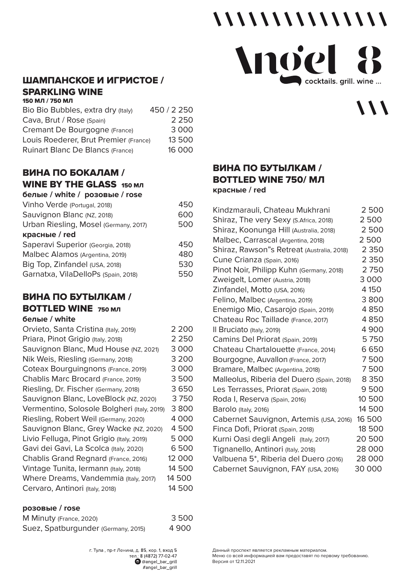#### ШАМПАНСКОЕ И ИГРИСТОЕ / **SPARKLING WINE** 150 МЛ / 750 МЛ

| Bio Bio Bubbles, extra dry (Italy)    | 450 / 2 250 |
|---------------------------------------|-------------|
| Cava, Brut / Rose (Spain)             | 2 2 5 0     |
| Cremant De Bourgogne (France)         | 3 0 0 0     |
| Louis Roederer, Brut Premier (France) | 13 500      |
| Ruinart Blanc De Blancs (France)      | 16 000      |

## ВИНА ПО БОКАЛАМ /

#### **WINE BY THE GLASS 150 MJI**  $\frac{1}{2}$   $\frac{1}{2}$   $\frac{1}{2}$   $\frac{1}{2}$   $\frac{1}{2}$   $\frac{1}{2}$   $\frac{1}{2}$   $\frac{1}{2}$   $\frac{1}{2}$   $\frac{1}{2}$   $\frac{1}{2}$   $\frac{1}{2}$   $\frac{1}{2}$   $\frac{1}{2}$   $\frac{1}{2}$   $\frac{1}{2}$   $\frac{1}{2}$   $\frac{1}{2}$   $\frac{1}{2}$   $\frac{1}{2}$   $\frac{1}{2}$   $\frac{1}{2}$

| белые / white / розовые / rose        |     |
|---------------------------------------|-----|
| Vinho Verde (Portugal, 2018)          | 450 |
| Sauvignon Blanc (NZ, 2018)            | 600 |
| Urban Riesling, Mosel (Germany, 2017) | 500 |
| красные / red                         |     |
| Saperavi Superior (Georgia, 2018)     | 450 |
| Malbec Alamos (Argentina, 2019)       | 480 |
| Big Top, Zinfandel (USA, 2018)        | 530 |
| Garnatxa, VilaDelloPs (Spain, 2018)   | 550 |

### ВИНА ПО БУТЫЛКАМ / **BOTTLED WINE 750 MJ**

## **белые / white**

| Orvieto, Santa Cristina (Italy, 2019)       | 2 2 0 0 |
|---------------------------------------------|---------|
| Priara, Pinot Grigio (Italy, 2018)          | 2 2 5 0 |
| Sauvignon Blanc, Mud House (NZ, 2021)       | 3 0 0 0 |
| Nik Weis, Riesling (Germany, 2018)          | 3 2 0 0 |
| Coteax Bourguingnons (France, 2019)         | 3 0 0 0 |
| Chablis Marc Brocard (France, 2019)         | 3500    |
| Riesling, Dr. Fischer (Germany, 2018)       | 3650    |
| Sauvignon Blanc, LoveBlock (NZ, 2020)       | 3750    |
| Vermentino, Solosole Bolgheri (Italy, 2019) | 3800    |
| Riesling, Robert Weil (Germany, 2020)       | 4 0 0 0 |
| Sauvignon Blanc, Grey Wacke (NZ, 2020)      | 4500    |
| Livio Felluga, Pinot Grigio (Italy, 2019)   | 5 000   |
| Gavi dei Gavi, La Scolca (Italy, 2020)      | 6500    |
| Chablis Grand Regnard (France, 2016)        | 12 000  |
| Vintage Tunita, lermann (Italy, 2018)       | 14 500  |
| Where Dreams, Vandemmia (Italy, 2017)       | 14 500  |
| Cervaro, Antinori (Italy, 2018)             | 14 500  |
|                                             |         |

#### розовые / rose

| M Minuty (France, 2020)             | 3500  |
|-------------------------------------|-------|
| Suez, Spatburgunder (Germany, 2015) | 4 900 |

## ВИНА ПО БУТЫЛКАМ / **BOTTLED WINE 750/MЛ** красные / red

| Kindzmarauli, Chateau Mukhrani             | 2500    |
|--------------------------------------------|---------|
| Shiraz, The very Sexy (S.Africa, 2018)     | 2500    |
| Shiraz, Koonunga Hill (Australia, 2018)    | 2500    |
| Malbec, Carrascal (Argentina, 2018)        | 2500    |
| Shiraz, Rawson"s Retreat (Australia, 2018) | 2 3 5 0 |
| Cune Crianza (Spain, 2016)                 | 2 3 5 0 |
| Pinot Noir, Philipp Kuhn (Germany, 2018)   | 2750    |
| Zweigelt, Lomer (Austria, 2018)            | 3 0 0 0 |
| Zinfandel, Motto (USA, 2016)               | 4 150   |
| Felino, Malbec (Argentina, 2019)           | 3800    |
| Enemigo Mio, Casarojo (Spain, 2019)        | 4850    |
| Chateau Roc Taillade (France, 2017)        | 4850    |
| Il Bruciato (Italy, 2019)                  | 4900    |
| Camins Del Priorat (Spain, 2019)           | 5750    |
| Chateau Chartalouette (France, 2014)       | 6650    |
| Bourgogne, Auvallon (France, 2017)         | 7500    |
| Bramare, Malbec (Argentina, 2018)          | 7500    |
| Malleolus, Riberia del Duero (Spain, 2018) | 8 3 5 0 |
| Les Terrasses, Priorat (Spain, 2018)       | 9500    |
| Roda I, Reserva (Spain, 2016)              | 10 500  |
| Barolo (Italy, 2016)                       | 14 500  |
| Cabernet Sauvignon, Artemis (USA, 2016)    | 16 500  |
| Finca Dofi, Priorat (Spain, 2018)          | 18500   |
| Kurni Oasi degli Angeli (Italy, 2017)      | 20 500  |
| Tignanello, Antinori (Italy, 2018)         | 28 000  |
| Valbuena 5*, Riberia del Duero (2016)      | 28 000  |
| Cabernet Sauvignon, FAY (USA, 2016)        | 30 000  |

Данный проспект является рекламным материалом. Меню со всей информацией вам предоставят по первому требованию. Версия от 12.11.2021

## Anoiel cocktails. grill. wine ...

 $111$